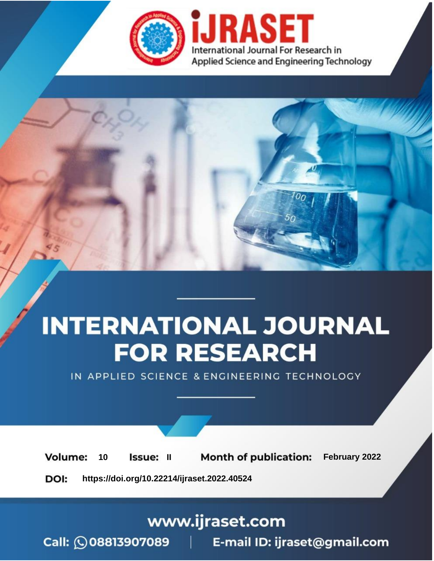

# **INTERNATIONAL JOURNAL FOR RESEARCH**

IN APPLIED SCIENCE & ENGINEERING TECHNOLOGY

**Month of publication:** February 2022 **Volume:** 10 **Issue: II** DOI: https://doi.org/10.22214/ijraset.2022.40524

www.ijraset.com

 $Call: \bigcirc$ 08813907089 E-mail ID: ijraset@gmail.com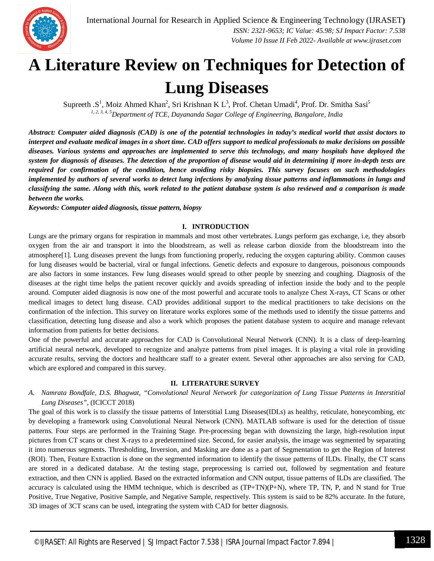

### **A Literature Review on Techniques for Detection of Lung Diseases**

Supreeth .S<sup>1</sup>, Moiz Ahmed Khan<sup>2</sup>, Sri Krishnan K L<sup>3</sup>, Prof. Chetan Umadi<sup>4</sup>, Prof. Dr. Smitha Sasi<sup>5</sup> *1, 2, 3, 4, 5Department of TCE, Dayananda Sagar College of Engineering, Bangalore, India*

*Abstract: Computer aided diagnosis (CAD) is one of the potential technologies in today's medical world that assist doctors to interpret and evaluate medical images in a short time. CAD offers support to medical professionals to make decisions on possible diseases. Various systems and approaches are implemented to serve this technology, and many hospitals have deployed the system for diagnosis of diseases. The detection of the proportion of disease would aid in determining if more in-depth tests are required for confirmation of the condition, hence avoiding risky biopsies. This survey focuses on such methodologies implemented by authors of several works to detect lung infections by analyzing tissue patterns and inflammations in lungs and classifying the same. Along with this, work related to the patient database system is also reviewed and a comparison is made between the works.*

*Keywords: Computer aided diagnosis, tissue pattern, biopsy*

#### **I. INTRODUCTION**

Lungs are the primary organs for respiration in mammals and most other vertebrates. Lungs perform gas exchange, i.e, they absorb oxygen from the air and transport it into the bloodstream, as well as release carbon dioxide from the bloodstream into the atmosphere[1]. Lung diseases prevent the lungs from functioning properly, reducing the oxygen capturing ability. Common causes for lung diseases would be bacterial, viral or fungal infections. Genetic defects and exposure to dangerous, poisonous compounds are also factors in some instances. Few lung diseases would spread to other people by sneezing and coughing. Diagnosis of the diseases at the right time helps the patient recover quickly and avoids spreading of infection inside the body and to the people around. Computer aided diagnosis is now one of the most powerful and accurate tools to analyze Chest X-rays, CT Scans or other medical images to detect lung disease. CAD provides additional support to the medical practitioners to take decisions on the confirmation of the infection. This survey on literature works explores some of the methods used to identify the tissue patterns and classification, detecting lung disease and also a work which proposes the patient database system to acquire and manage relevant information from patients for better decisions.

One of the powerful and accurate approaches for CAD is Convolutional Neural Network (CNN). It is a class of deep-learning artificial neural network, developed to recognize and analyze patterns from pixel images. It is playing a vital role in providing accurate results, serving the doctors and healthcare staff to a greater extent. Several other approaches are also serving for CAD, which are explored and compared in this survey.

#### **II. LITERATURE SURVEY**

*A. Namrata Bondfale, D.S. Bhagwat, "Convolutional Neural Network for categorization of Lung Tissue Patterns in Interstitial Lung Diseases",* (ICICCT 2018)

The goal of this work is to classify the tissue patterns of Interstitial Lung Diseases(IDLs) as healthy, reticulate, honeycombing, etc by developing a framework using Convolutional Neural Network (CNN). MATLAB software is used for the detection of tissue patterns. Four steps are performed in the Training Stage. Pre-processing began with downsizing the large, high-resolution input pictures from CT scans or chest X-rays to a predetermined size. Second, for easier analysis, the image was segmented by separating it into numerous segments. Thresholding, Inversion, and Masking are done as a part of Segmentation to get the Region of Interest (ROI). Then, Feature Extraction is done on the segmented information to identify the tissue patterns of ILDs. Finally, the CT scans are stored in a dedicated database. At the testing stage, preprocessing is carried out, followed by segmentation and feature extraction, and then CNN is applied. Based on the extracted information and CNN output, tissue patterns of ILDs are classified. The accuracy is calculated using the HMM technique, which is described as  $(TP+TN)(P+N)$ , where TP, TN, P, and N stand for True Positive, True Negative, Positive Sample, and Negative Sample, respectively. This system is said to be 82% accurate. In the future, 3D images of 3CT scans can be used, integrating the system with CAD for better diagnosis.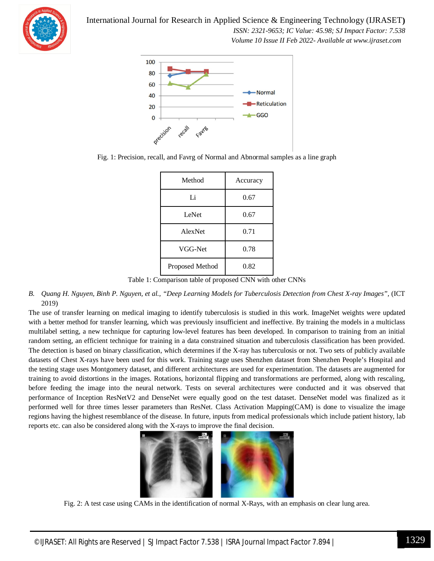

International Journal for Research in Applied Science & Engineering Technology (IJRASET**)**  *ISSN: 2321-9653; IC Value: 45.98; SJ Impact Factor: 7.538 Volume 10 Issue II Feb 2022- Available at www.ijraset.com*



Fig. 1: Precision, recall, and Favrg of Normal and Abnormal samples as a line graph

| Method          | Accuracy |
|-----------------|----------|
| Li              | 0.67     |
| LeNet           | 0.67     |
| AlexNet         | 0.71     |
| VGG-Net         | 0.78     |
| Proposed Method | 0.82     |

Table 1: Comparison table of proposed CNN with other CNNs

*B. Quang H. Nguyen, Binh P. Nguyen, et al., "Deep Learning Models for Tuberculosis Detection from Chest X-ray Images",* (ICT 2019)

The use of transfer learning on medical imaging to identify tuberculosis is studied in this work. ImageNet weights were updated with a better method for transfer learning, which was previously insufficient and ineffective. By training the models in a multiclass multilabel setting, a new technique for capturing low-level features has been developed. In comparison to training from an initial random setting, an efficient technique for training in a data constrained situation and tuberculosis classification has been provided. The detection is based on binary classification, which determines if the X-ray has tuberculosis or not. Two sets of publicly available datasets of Chest X-rays have been used for this work. Training stage uses Shenzhen dataset from Shenzhen People's Hospital and the testing stage uses Montgomery dataset, and different architectures are used for experimentation. The datasets are augmented for training to avoid distortions in the images. Rotations, horizontal flipping and transformations are performed, along with rescaling, before feeding the image into the neural network. Tests on several architectures were conducted and it was observed that performance of Inception ResNetV2 and DenseNet were equally good on the test dataset. DenseNet model was finalized as it performed well for three times lesser parameters than ResNet. Class Activation Mapping(CAM) is done to visualize the image regions having the highest resemblance of the disease. In future, inputs from medical professionals which include patient history, lab reports etc. can also be considered along with the X-rays to improve the final decision.



Fig. 2: A test case using CAMs in the identification of normal X-Rays, with an emphasis on clear lung area.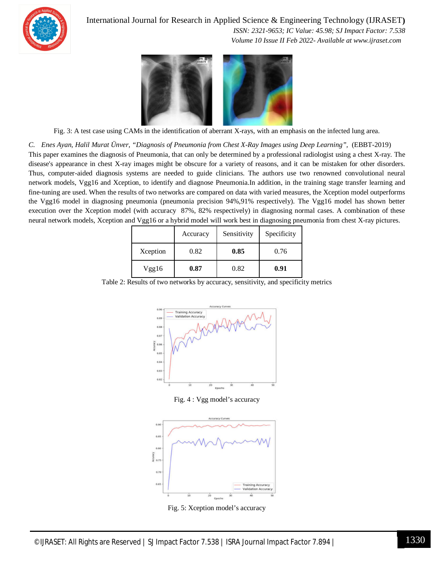

International Journal for Research in Applied Science & Engineering Technology (IJRASET**)**

 *ISSN: 2321-9653; IC Value: 45.98; SJ Impact Factor: 7.538 Volume 10 Issue II Feb 2022- Available at www.ijraset.com*



Fig. 3: A test case using CAMs in the identification of aberrant X-rays, with an emphasis on the infected lung area.

*C. Enes Ayan, Halil Murat Ünver, "Diagnosis of Pneumonia from Chest X-Ray Images using Deep Learning",* (EBBT-2019) This paper examines the diagnosis of Pneumonia, that can only be determined by a professional radiologist using a chest X-ray. The disease's appearance in chest X-ray images might be obscure for a variety of reasons, and it can be mistaken for other disorders. Thus, computer-aided diagnosis systems are needed to guide clinicians. The authors use two renowned convolutional neural network models, Vgg16 and Xception, to identify and diagnose Pneumonia.In addition, in the training stage transfer learning and fine-tuning are used. When the results of two networks are compared on data with varied measures, the Xception model outperforms the Vgg16 model in diagnosing pneumonia (pneumonia precision 94%,91% respectively). The Vgg16 model has shown better execution over the Xception model (with accuracy 87%, 82% respectively) in diagnosing normal cases. A combination of these neural network models, Xception and Vgg16 or a hybrid model will work best in diagnosing pneumonia from chest X-ray pictures.

|          | Accuracy | Sensitivity | Specificity |
|----------|----------|-------------|-------------|
| Xception | 0.82     | 0.85        | 0.76        |
| Vgg16    | 0.87     | 0.82        | 0.91        |

Table 2: Results of two networks by accuracy, sensitivity, and specificity metrics



Fig. 4 : Vgg model's accuracy



Fig. 5: Xception model's accuracy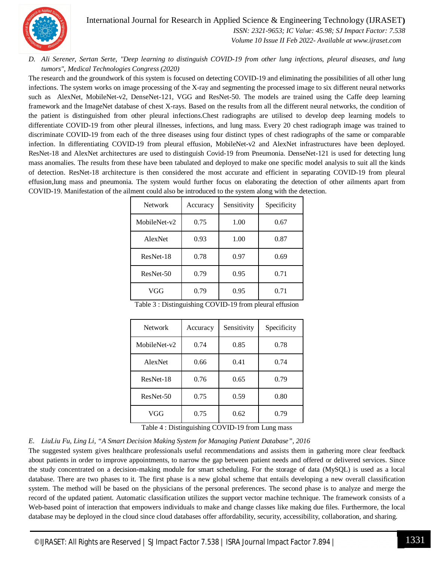

International Journal for Research in Applied Science & Engineering Technology (IJRASET**)**  *ISSN: 2321-9653; IC Value: 45.98; SJ Impact Factor: 7.538*

 *Volume 10 Issue II Feb 2022- Available at www.ijraset.com*

#### *D. Ali Serener, Sertan Serte, "Deep learning to distinguish COVID-19 from other lung infections, pleural diseases, and lung tumors", Medical Technologies Congress (2020)*

The research and the groundwork of this system is focused on detecting COVID-19 and eliminating the possibilities of all other lung infections. The system works on image processing of the X-ray and segmenting the processed image to six different neural networks such as AlexNet, MobileNet-v2, DenseNet-121, VGG and ResNet-50. The models are trained using the Caffe deep learning framework and the ImageNet database of chest X-rays. Based on the results from all the different neural networks, the condition of the patient is distinguished from other pleural infections.Chest radiographs are utilised to develop deep learning models to differentiate COVID-19 from other pleural illnesses, infections, and lung mass. Every 20 chest radiograph image was trained to discriminate COVID-19 from each of the three diseases using four distinct types of chest radiographs of the same or comparable infection. In differentiating COVID-19 from pleural effusion, MobileNet-v2 and AlexNet infrastructures have been deployed. ResNet-18 and AlexNet architectures are used to distinguish Covid-19 from Pneumonia. DenseNet-121 is used for detecting lung mass anomalies. The results from these have been tabulated and deployed to make one specific model analysis to suit all the kinds of detection. ResNet-18 architecture is then considered the most accurate and efficient in separating COVID-19 from pleural effusion,lung mass and pneumonia. The system would further focus on elaborating the detection of other ailments apart from COVID-19. Manifestation of the ailment could also be introduced to the system along with the detection.

| <b>Network</b> | Accuracy | Sensitivity | Specificity |
|----------------|----------|-------------|-------------|
| MobileNet-v2   | 0.75     | 1.00        | 0.67        |
| AlexNet        | 0.93     | 1.00        | 0.87        |
| ResNet-18      | 0.78     | 0.97        | 0.69        |
| ResNet-50      | 0.79     | 0.95        | 0.71        |
| VGG            | 0.79     | 0.95        | 0.71        |

Table 3 : Distinguishing COVID-19 from pleural effusion

| <b>Network</b> | Accuracy | Sensitivity | Specificity |
|----------------|----------|-------------|-------------|
| MobileNet-v2   | 0.74     | 0.85        | 0.78        |
| AlexNet        | 0.66     | 0.41        | 0.74        |
| ResNet-18      | 0.76     | 0.65        | 0.79        |
| ResNet-50      | 0.75     | 0.59        | 0.80        |
| VGG            | 0.75     | 0.62        | 0.79        |

Table 4 : Distinguishing COVID-19 from Lung mass

#### *E. LiuLiu Fu, Ling Li, "A Smart Decision Making System for Managing Patient Database", 2016*

The suggested system gives healthcare professionals useful recommendations and assists them in gathering more clear feedback about patients in order to improve appointments, to narrow the gap between patient needs and offered or delivered services. Since the study concentrated on a decision-making module for smart scheduling. For the storage of data (MySQL) is used as a local database. There are two phases to it. The first phase is a new global scheme that entails developing a new overall classification system. The method will be based on the physicians of the personal preferences. The second phase is to analyze and merge the record of the updated patient. Automatic classification utilizes the support vector machine technique. The framework consists of a Web-based point of interaction that empowers individuals to make and change classes like making due files. Furthermore, the local database may be deployed in the cloud since cloud databases offer affordability, security, accessibility, collaboration, and sharing.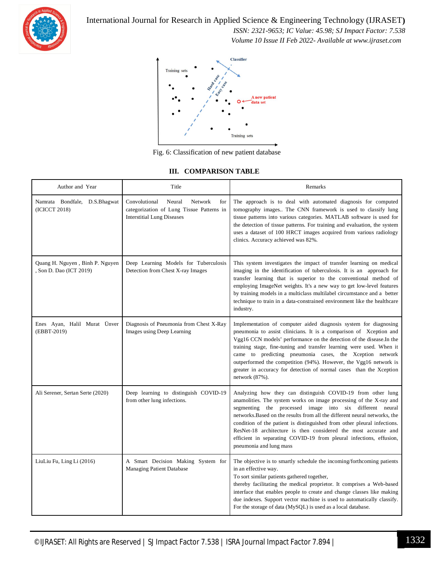

International Journal for Research in Applied Science & Engineering Technology (IJRASET**)**

 *ISSN: 2321-9653; IC Value: 45.98; SJ Impact Factor: 7.538 Volume 10 Issue II Feb 2022- Available at www.ijraset.com*



Fig. 6: Classification of new patient database

#### **III. COMPARISON TABLE**

| Author and Year                                          | Title                                                                                                                              | Remarks                                                                                                                                                                                                                                                                                                                                                                                                                                                                                                                      |
|----------------------------------------------------------|------------------------------------------------------------------------------------------------------------------------------------|------------------------------------------------------------------------------------------------------------------------------------------------------------------------------------------------------------------------------------------------------------------------------------------------------------------------------------------------------------------------------------------------------------------------------------------------------------------------------------------------------------------------------|
| Namrata Bondfale, D.S.Bhagwat<br>(ICICCT 2018)           | Convolutional<br>for<br>Neural<br><b>Network</b><br>categorization of Lung Tissue Patterns in<br><b>Interstitial Lung Diseases</b> | The approach is to deal with automated diagnosis for computed<br>tomography images The CNN framework is used to classify lung<br>tissue patterns into various categories. MATLAB software is used for<br>the detection of tissue patterns. For training and evaluation, the system<br>uses a dataset of 100 HRCT images acquired from various radiology<br>clinics. Accuracy achieved was 82%.                                                                                                                               |
| Quang H. Nguyen, Binh P. Nguyen<br>Son D. Dao (ICT 2019) | Deep Learning Models for Tuberculosis<br>Detection from Chest X-ray Images                                                         | This system investigates the impact of transfer learning on medical<br>imaging in the identification of tuberculosis. It is an approach for<br>transfer learning that is superior to the conventional method of<br>employing ImageNet weights. It's a new way to get low-level features<br>by training models in a multiclass multilabel circumstance and a better<br>technique to train in a data-constrained environment like the healthcare<br>industry.                                                                  |
| Enes Ayan, Halil Murat Ünver<br>(EBBT-2019)              | Diagnosis of Pneumonia from Chest X-Ray<br>Images using Deep Learning                                                              | Implementation of computer aided diagnosis system for diagnosing<br>pneumonia to assist clinicians. It is a comparison of Xception and<br>Vgg16 CCN models' performance on the detection of the disease.In the<br>training stage, fine-tuning and transfer learning were used. When it<br>came to predicting pneumonia cases, the Xception network<br>outperformed the competition (94%). However, the Vgg16 network is<br>greater in accuracy for detection of normal cases than the Xception<br>network (87%).             |
| Ali Serener, Sertan Serte (2020)                         | Deep learning to distinguish COVID-19<br>from other lung infections.                                                               | Analyzing how they can distinguish COVID-19 from other lung<br>anamolities. The system works on image processing of the X-ray and<br>segmenting the processed image into six different neural<br>networks. Based on the results from all the different neural networks, the<br>condition of the patient is distinguished from other pleural infections.<br>ResNet-18 architecture is then considered the most accurate and<br>efficient in separating COVID-19 from pleural infections, effusion,<br>pneumonia and lung mass |
| LiuLiu Fu, Ling Li (2016)                                | A Smart Decision Making System for<br>Managing Patient Database                                                                    | The objective is to smartly schedule the incoming/forthcoming patients<br>in an effective way.<br>To sort similar patients gathered together,<br>thereby facilitating the medical proprietor. It comprises a Web-based<br>interface that enables people to create and change classes like making<br>due indexes. Support vector machine is used to automatically classify.<br>For the storage of data (MySQL) is used as a local database.                                                                                   |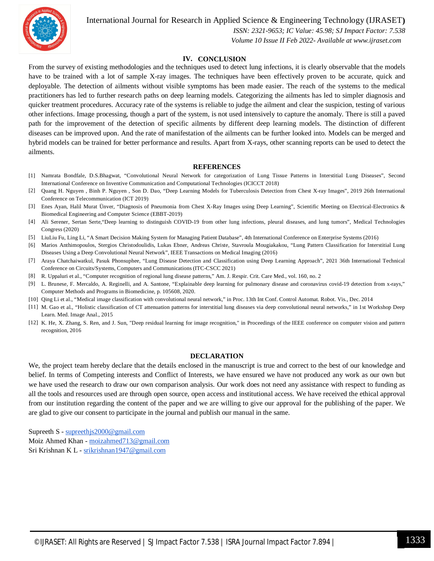

International Journal for Research in Applied Science & Engineering Technology (IJRASET**)**  *ISSN: 2321-9653; IC Value: 45.98; SJ Impact Factor: 7.538*

 *Volume 10 Issue II Feb 2022- Available at www.ijraset.com*

#### **IV. CONCLUSION**

From the survey of existing methodologies and the techniques used to detect lung infections, it is clearly observable that the models have to be trained with a lot of sample X-ray images. The techniques have been effectively proven to be accurate, quick and deployable. The detection of ailments without visible symptoms has been made easier. The reach of the systems to the medical practitioners has led to further research paths on deep learning models. Categorizing the ailments has led to simpler diagnosis and quicker treatment procedures. Accuracy rate of the systems is reliable to judge the ailment and clear the suspicion, testing of various other infections. Image processing, though a part of the system, is not used intensively to capture the anomaly. There is still a paved path for the improvement of the detection of specific ailments by different deep learning models. The distinction of different diseases can be improved upon. And the rate of manifestation of the ailments can be further looked into. Models can be merged and hybrid models can be trained for better performance and results. Apart from X-rays, other scanning reports can be used to detect the ailments.

#### **REFERENCES**

- [1] Namrata Bondfale, D.S.Bhagwat, "Convolutional Neural Network for categorization of Lung Tissue Patterns in Interstitial Lung Diseases", Second International Conference on Inventive Communication and Computational Technologies (ICICCT 2018)
- [2] Quang H. Nguyen , Binh P. Nguyen , Son D. Dao, "Deep Learning Models for Tuberculosis Detection from Chest X-ray Images", 2019 26th International Conference on Telecommunication (ICT 2019)
- [3] Enes Ayan, Halil Murat Ünver, "Diagnosis of Pneumonia from Chest X-Ray Images using Deep Learning", Scientific Meeting on Electrical-Electronics & Biomedical Engineering and Computer Science (EBBT-2019)
- [4] Ali Serener, Sertan Serte,"Deep learning to distinguish COVID-19 from other lung infections, pleural diseases, and lung tumors", Medical Technologies Congress (2020)
- [5] LiuLiu Fu, Ling Li, "A Smart Decision Making System for Managing Patient Database", 4th International Conference on Enterprise Systems (2016)
- [6] Marios Anthimopoulos, Stergios Christodoulidis, Lukas Ebner, Andreas Christe, Stavroula Mougiakakou, "Lung Pattern Classification for Interstitial Lung Diseases Using a Deep Convolutional Neural Network", IEEE Transactions on Medical Imaging (2016)
- [7] Araya Chatchaiwatkul, Pasuk Phonsuphee, "Lung Disease Detection and Classification using Deep Learning Approach", 2021 36th International Technical Conference on Circuits/Systems, Computers and Communications (ITC-CSCC 2021)
- [8] R. Uppaluri et al., "Computer recognition of regional lung disease patterns," Am. J. Respir. Crit. Care Med., vol. 160, no. 2
- [9] L. Brunese, F. Mercaldo, A. Reginelli, and A. Santone, "Explainable deep learning for pulmonary disease and coronavirus covid-19 detection from x-rays," Computer Methods and Programs in Biomedicine, p. 105608, 2020.
- [10] Qing Li et al., "Medical image classification with convolutional neural network," in Proc. 13th Int Conf. Control Automat. Robot. Vis., Dec. 2014
- [11] M. Gao et al., "Holistic classification of CT attenuation patterns for interstitial lung diseases via deep convolutional neural networks," in 1st Workshop Deep Learn. Med. Image Anal., 2015
- [12] K. He, X. Zhang, S. Ren, and J. Sun, "Deep residual learning for image recognition," in Proceedings of the IEEE conference on computer vision and pattern recognition, 2016

#### **DECLARATION**

We, the project team hereby declare that the details enclosed in the manuscript is true and correct to the best of our knowledge and belief. In terms of Competing interests and Conflict of Interests, we have ensured we have not produced any work as our own but we have used the research to draw our own comparison analysis. Our work does not need any assistance with respect to funding as all the tools and resources used are through open source, open access and institutional access. We have received the ethical approval from our institution regarding the content of the paper and we are willing to give our approval for the publishing of the paper. We are glad to give our consent to participate in the journal and publish our manual in the same.

Supreeth S - supreethjs2000@gmail.com Moiz Ahmed Khan - moizahmed713@gmail.com Sri Krishnan K L - srikrishnan1947@gmail.com